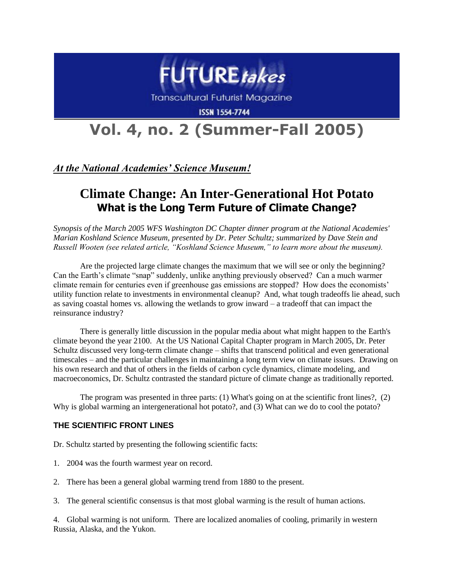

**Transcultural Futurist Magazine** 

**ISSN 1554-7744** 

# **Vol. 4, no. 2 (Summer-Fall 2005)**

*At the National Academies' Science Museum!*

# **Climate Change: An Inter-Generational Hot Potato What is the Long Term Future of Climate Change?**

*Synopsis of the March 2005 WFS Washington DC Chapter dinner program at the National Academies' Marian Koshland Science Museum, presented by Dr. Peter Schultz; summarized by Dave Stein and Russell Wooten (see related article, "Koshland Science Museum," to learn more about the museum).*

Are the projected large climate changes the maximum that we will see or only the beginning? Can the Earth's climate "snap" suddenly, unlike anything previously observed? Can a much warmer climate remain for centuries even if greenhouse gas emissions are stopped? How does the economists' utility function relate to investments in environmental cleanup? And, what tough tradeoffs lie ahead, such as saving coastal homes vs. allowing the wetlands to grow inward – a tradeoff that can impact the reinsurance industry?

There is generally little discussion in the popular media about what might happen to the Earth's climate beyond the year 2100. At the US National Capital Chapter program in March 2005, Dr. Peter Schultz discussed very long-term climate change – shifts that transcend political and even generational timescales – and the particular challenges in maintaining a long term view on climate issues. Drawing on his own research and that of others in the fields of carbon cycle dynamics, climate modeling, and macroeconomics, Dr. Schultz contrasted the standard picture of climate change as traditionally reported.

The program was presented in three parts: (1) What's going on at the scientific front lines?, (2) Why is global warming an intergenerational hot potato?, and (3) What can we do to cool the potato?

## **THE SCIENTIFIC FRONT LINES**

Dr. Schultz started by presenting the following scientific facts:

- 1. 2004 was the fourth warmest year on record.
- 2. There has been a general global warming trend from 1880 to the present.
- 3. The general scientific consensus is that most global warming is the result of human actions.

4. Global warming is not uniform. There are localized anomalies of cooling, primarily in western Russia, Alaska, and the Yukon.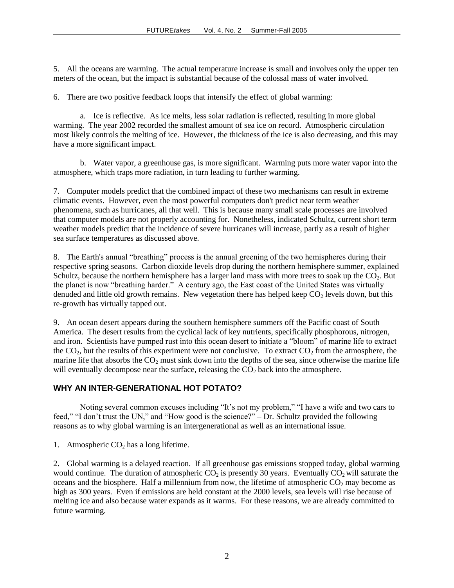5. All the oceans are warming. The actual temperature increase is small and involves only the upper ten meters of the ocean, but the impact is substantial because of the colossal mass of water involved.

6. There are two positive feedback loops that intensify the effect of global warming:

a. Ice is reflective. As ice melts, less solar radiation is reflected, resulting in more global warming. The year 2002 recorded the smallest amount of sea ice on record. Atmospheric circulation most likely controls the melting of ice. However, the thickness of the ice is also decreasing, and this may have a more significant impact.

b. Water vapor, a greenhouse gas, is more significant. Warming puts more water vapor into the atmosphere, which traps more radiation, in turn leading to further warming.

7. Computer models predict that the combined impact of these two mechanisms can result in extreme climatic events. However, even the most powerful computers don't predict near term weather phenomena, such as hurricanes, all that well. This is because many small scale processes are involved that computer models are not properly accounting for. Nonetheless, indicated Schultz, current short term weather models predict that the incidence of severe hurricanes will increase, partly as a result of higher sea surface temperatures as discussed above.

8. The Earth's annual "breathing" process is the annual greening of the two hemispheres during their respective spring seasons. Carbon dioxide levels drop during the northern hemisphere summer, explained Schultz, because the northern hemisphere has a larger land mass with more trees to soak up the  $CO<sub>2</sub>$ . But the planet is now "breathing harder." A century ago, the East coast of the United States was virtually denuded and little old growth remains. New vegetation there has helped keep  $CO<sub>2</sub>$  levels down, but this re-growth has virtually tapped out.

9. An ocean desert appears during the southern hemisphere summers off the Pacific coast of South America. The desert results from the cyclical lack of key nutrients, specifically phosphorous, nitrogen, and iron. Scientists have pumped rust into this ocean desert to initiate a "bloom" of marine life to extract the  $CO<sub>2</sub>$ , but the results of this experiment were not conclusive. To extract  $CO<sub>2</sub>$  from the atmosphere, the marine life that absorbs the  $CO<sub>2</sub>$  must sink down into the depths of the sea, since otherwise the marine life will eventually decompose near the surface, releasing the  $CO<sub>2</sub>$  back into the atmosphere.

#### **WHY AN INTER-GENERATIONAL HOT POTATO?**

Noting several common excuses including "It's not my problem," "I have a wife and two cars to feed," "I don't trust the UN," and "How good is the science?" – Dr. Schultz provided the following reasons as to why global warming is an intergenerational as well as an international issue.

1. Atmospheric  $CO<sub>2</sub>$  has a long lifetime.

2. Global warming is a delayed reaction. If all greenhouse gas emissions stopped today, global warming would continue. The duration of atmospheric  $CO_2$  is presently 30 years. Eventually  $CO_2$  will saturate the oceans and the biosphere. Half a millennium from now, the lifetime of atmospheric  $CO<sub>2</sub>$  may become as high as 300 years. Even if emissions are held constant at the 2000 levels, sea levels will rise because of melting ice and also because water expands as it warms. For these reasons, we are already committed to future warming.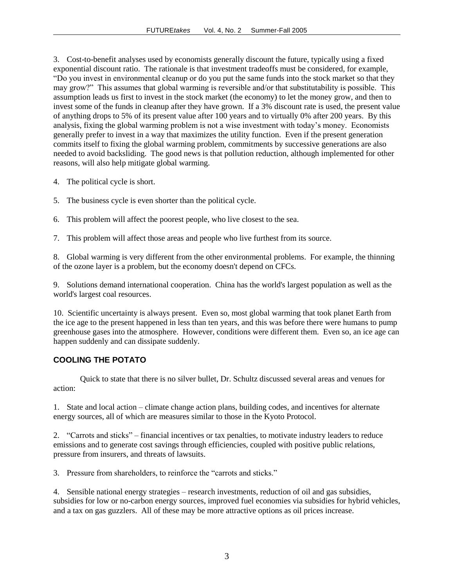3. Cost-to-benefit analyses used by economists generally discount the future, typically using a fixed exponential discount ratio. The rationale is that investment tradeoffs must be considered, for example, "Do you invest in environmental cleanup or do you put the same funds into the stock market so that they may grow?" This assumes that global warming is reversible and/or that substitutability is possible. This assumption leads us first to invest in the stock market (the economy) to let the money grow, and then to invest some of the funds in cleanup after they have grown. If a 3% discount rate is used, the present value of anything drops to 5% of its present value after 100 years and to virtually 0% after 200 years. By this analysis, fixing the global warming problem is not a wise investment with today's money. Economists generally prefer to invest in a way that maximizes the utility function. Even if the present generation commits itself to fixing the global warming problem, commitments by successive generations are also needed to avoid backsliding. The good news is that pollution reduction, although implemented for other reasons, will also help mitigate global warming.

- 4. The political cycle is short.
- 5. The business cycle is even shorter than the political cycle.
- 6. This problem will affect the poorest people, who live closest to the sea.
- 7. This problem will affect those areas and people who live furthest from its source.

8. Global warming is very different from the other environmental problems. For example, the thinning of the ozone layer is a problem, but the economy doesn't depend on CFCs.

9. Solutions demand international cooperation. China has the world's largest population as well as the world's largest coal resources.

10. Scientific uncertainty is always present. Even so, most global warming that took planet Earth from the ice age to the present happened in less than ten years, and this was before there were humans to pump greenhouse gases into the atmosphere. However, conditions were different them. Even so, an ice age can happen suddenly and can dissipate suddenly.

## **COOLING THE POTATO**

Quick to state that there is no silver bullet, Dr. Schultz discussed several areas and venues for action:

1. State and local action – climate change action plans, building codes, and incentives for alternate energy sources, all of which are measures similar to those in the Kyoto Protocol.

2. "Carrots and sticks" – financial incentives or tax penalties, to motivate industry leaders to reduce emissions and to generate cost savings through efficiencies, coupled with positive public relations, pressure from insurers, and threats of lawsuits.

3. Pressure from shareholders, to reinforce the "carrots and sticks."

4. Sensible national energy strategies – research investments, reduction of oil and gas subsidies, subsidies for low or no-carbon energy sources, improved fuel economies via subsidies for hybrid vehicles, and a tax on gas guzzlers. All of these may be more attractive options as oil prices increase.